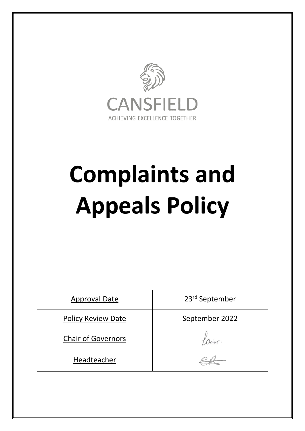

# **Complaints and Appeals Policy**

| <b>Approval Date</b>      | 23rd September |
|---------------------------|----------------|
| <b>Policy Review Date</b> | September 2022 |
| <b>Chair of Governors</b> |                |
| Headteacher               |                |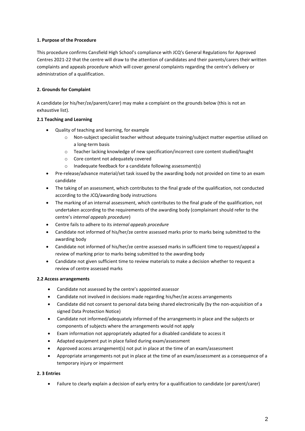# **1. Purpose of the Procedure**

This procedure confirms Cansfield High School's compliance with JCQ's General Regulations for Approved Centres 2021-22 that the centre will draw to the attention of candidates and their parents/carers their written complaints and appeals procedure which will cover general complaints regarding the centre's delivery or administration of a qualification.

# **2. Grounds for Complaint**

A candidate (or his/her/ze/parent/carer) may make a complaint on the grounds below (this is not an exhaustive list).

# **2.1 Teaching and Learning**

- Quality of teaching and learning, for example
	- o Non-subject specialist teacher without adequate training/subject matter expertise utilised on a long-term basis
	- o Teacher lacking knowledge of new specification/incorrect core content studied/taught
	- o Core content not adequately covered
	- o Inadequate feedback for a candidate following assessment(s)
- Pre-release/advance material/set task issued by the awarding body not provided on time to an exam candidate
- The taking of an assessment, which contributes to the final grade of the qualification, not conducted according to the JCQ/awarding body instructions
- The marking of an internal assessment, which contributes to the final grade of the qualification, not undertaken according to the requirements of the awarding body (complainant should refer to the centre's *internal appeals procedure*)
- Centre fails to adhere to its *internal appeals procedure*
- Candidate not informed of his/her/ze centre assessed marks prior to marks being submitted to the awarding body
- Candidate not informed of his/her/ze centre assessed marks in sufficient time to request/appeal a review of marking prior to marks being submitted to the awarding body
- Candidate not given sufficient time to review materials to make a decision whether to request a review of centre assessed marks

# **2.2 Access arrangements**

- Candidate not assessed by the centre's appointed assessor
- Candidate not involved in decisions made regarding his/her/ze access arrangements
- Candidate did not consent to personal data being shared electronically (by the non-acquisition of a signed Data Protection Notice)
- Candidate not informed/adequately informed of the arrangements in place and the subjects or components of subjects where the arrangements would not apply
- Exam information not appropriately adapted for a disabled candidate to access it
- Adapted equipment put in place failed during exam/assessment
- Approved access arrangement(s) not put in place at the time of an exam/assessment
- Appropriate arrangements not put in place at the time of an exam/assessment as a consequence of a temporary injury or impairment

# **2. 3 Entries**

Failure to clearly explain a decision of early entry for a qualification to candidate (or parent/carer)